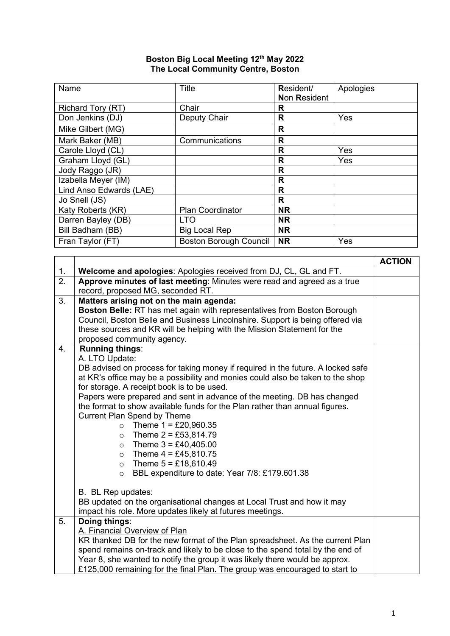## **Boston Big Local Meeting 12th May 2022 The Local Community Centre, Boston**

| Name                    | <b>Title</b>                  | Resident/           | Apologies |
|-------------------------|-------------------------------|---------------------|-----------|
|                         |                               | <b>Non Resident</b> |           |
| Richard Tory (RT)       | Chair                         | R                   |           |
| Don Jenkins (DJ)        | Deputy Chair                  | $\mathsf{R}$        | Yes       |
| Mike Gilbert (MG)       |                               | $\mathsf{R}$        |           |
| Mark Baker (MB)         | Communications                | R                   |           |
| Carole Lloyd (CL)       |                               | R                   | Yes       |
| Graham Lloyd (GL)       |                               | R                   | Yes       |
| Jody Raggo (JR)         |                               | R                   |           |
| Izabella Meyer (IM)     |                               | R                   |           |
| Lind Anso Edwards (LAE) |                               | $\mathsf{R}$        |           |
| Jo Snell (JS)           |                               | R                   |           |
| Katy Roberts (KR)       | <b>Plan Coordinator</b>       | <b>NR</b>           |           |
| Darren Bayley (DB)      | <b>LTO</b>                    | <b>NR</b>           |           |
| Bill Badham (BB)        | <b>Big Local Rep</b>          | <b>NR</b>           |           |
| Fran Taylor (FT)        | <b>Boston Borough Council</b> | <b>NR</b>           | Yes       |

|                |                                                                                 | <b>ACTION</b> |  |
|----------------|---------------------------------------------------------------------------------|---------------|--|
| 1 <sub>1</sub> | Welcome and apologies: Apologies received from DJ, CL, GL and FT.               |               |  |
| 2.             | Approve minutes of last meeting: Minutes were read and agreed as a true         |               |  |
|                | record, proposed MG, seconded RT.                                               |               |  |
| 3.             | Matters arising not on the main agenda:                                         |               |  |
|                | <b>Boston Belle: RT has met again with representatives from Boston Borough</b>  |               |  |
|                | Council, Boston Belle and Business Lincolnshire. Support is being offered via   |               |  |
|                | these sources and KR will be helping with the Mission Statement for the         |               |  |
|                | proposed community agency.                                                      |               |  |
| 4.             | <b>Running things:</b>                                                          |               |  |
|                | A. LTO Update:                                                                  |               |  |
|                | DB advised on process for taking money if required in the future. A locked safe |               |  |
|                | at KR's office may be a possibility and monies could also be taken to the shop  |               |  |
|                | for storage. A receipt book is to be used.                                      |               |  |
|                | Papers were prepared and sent in advance of the meeting. DB has changed         |               |  |
|                | the format to show available funds for the Plan rather than annual figures.     |               |  |
|                | <b>Current Plan Spend by Theme</b>                                              |               |  |
|                | • Theme $1 = £20,960.35$                                                        |               |  |
|                | Theme $2 = £53,814.79$<br>$\circ$                                               |               |  |
|                | Theme $3 = £40,405.00$<br>$\circ$                                               |               |  |
|                | Theme $4 = £45,810.75$<br>$\circ$                                               |               |  |
|                | Theme $5 = £18,610.49$<br>$\circ$                                               |               |  |
|                | BBL expenditure to date: Year 7/8: £179.601.38<br>$\circ$                       |               |  |
|                |                                                                                 |               |  |
|                | B. BL Rep updates:                                                              |               |  |
|                | BB updated on the organisational changes at Local Trust and how it may          |               |  |
|                | impact his role. More updates likely at futures meetings.                       |               |  |
| 5.             | Doing things:                                                                   |               |  |
|                | A. Financial Overview of Plan                                                   |               |  |
|                | KR thanked DB for the new format of the Plan spreadsheet. As the current Plan   |               |  |
|                | spend remains on-track and likely to be close to the spend total by the end of  |               |  |
|                | Year 8, she wanted to notify the group it was likely there would be approx.     |               |  |
|                | £125,000 remaining for the final Plan. The group was encouraged to start to     |               |  |